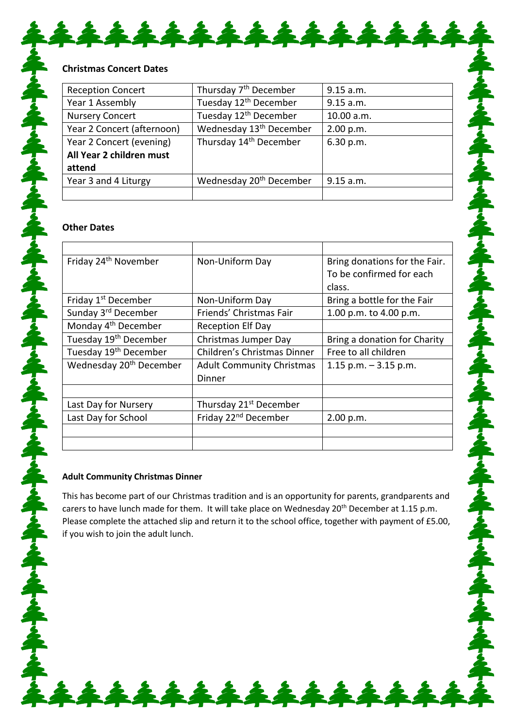| <b>Reception Concert</b>   | Thursday 7 <sup>th</sup> December   | 9.15 a.m.  |  |
|----------------------------|-------------------------------------|------------|--|
| Year 1 Assembly            | Tuesday 12 <sup>th</sup> December   | 9.15 a.m.  |  |
| <b>Nursery Concert</b>     | Tuesday 12 <sup>th</sup> December   | 10.00 a.m. |  |
| Year 2 Concert (afternoon) | Wednesday 13 <sup>th</sup> December | 2.00 p.m.  |  |
| Year 2 Concert (evening)   | Thursday 14 <sup>th</sup> December  | 6.30 p.m.  |  |
| All Year 2 children must   |                                     |            |  |
| attend                     |                                     |            |  |
| Year 3 and 4 Liturgy       | Wednesday 20 <sup>th</sup> December | 9.15 a.m.  |  |
|                            |                                     |            |  |

## **Other Dates**

| Friday 24 <sup>th</sup> November    | Non-Uniform Day                    | Bring donations for the Fair. |  |
|-------------------------------------|------------------------------------|-------------------------------|--|
|                                     |                                    | To be confirmed for each      |  |
|                                     |                                    | class.                        |  |
| Friday 1 <sup>st</sup> December     | Non-Uniform Day                    | Bring a bottle for the Fair   |  |
| Sunday 3rd December                 | Friends' Christmas Fair            | 1.00 p.m. to 4.00 p.m.        |  |
| Monday 4 <sup>th</sup> December     | <b>Reception Elf Day</b>           |                               |  |
| Tuesday 19 <sup>th</sup> December   | Christmas Jumper Day               | Bring a donation for Charity  |  |
| Tuesday 19 <sup>th</sup> December   | Children's Christmas Dinner        | Free to all children          |  |
| Wednesday 20 <sup>th</sup> December | <b>Adult Community Christmas</b>   | 1.15 p.m. $-3.15$ p.m.        |  |
|                                     | Dinner                             |                               |  |
|                                     |                                    |                               |  |
| Last Day for Nursery                | Thursday 21 <sup>st</sup> December |                               |  |
| Last Day for School                 | Friday 22 <sup>nd</sup> December   | 2.00 p.m.                     |  |
|                                     |                                    |                               |  |
|                                     |                                    |                               |  |

## **Adult Community Christmas Dinner**

This has become part of our Christmas tradition and is an opportunity for parents, grandparents and carers to have lunch made for them. It will take place on Wednesday 20<sup>th</sup> December at 1.15 p.m. Please complete the attached slip and return it to the school office, together with payment of £5.00, if you wish to join the adult lunch.